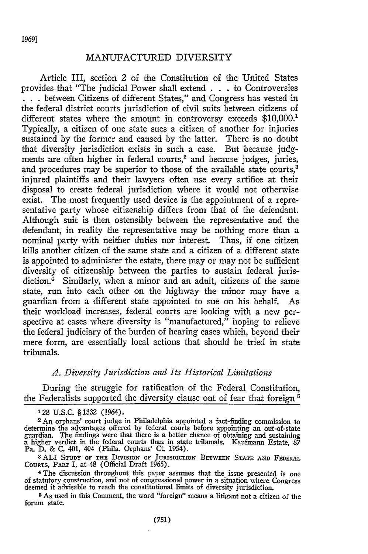1969]

#### MANUFACTURED DIVERSITY

Article III, section 2 of the Constitution of the United States provides that "The judicial Power shall extend **. . .** to Controversies **. . .**between Citizens of different States," and Congress has vested in the federal district courts jurisdiction of civil suits between citizens of different states where the amount in controversy exceeds \$10,000.<sup>1</sup> Typically, a citizen of one state sues a citizen of another for injuries sustained **by** the former and caused **by** the latter. There is no doubt that diversity jurisdiction exists in such a case. But because judgments are often higher in federal courts,<sup>2</sup> and because judges, juries, and procedures may be superior to those of the available state courts,<sup>3</sup> injured plaintiffs and their lawyers often use every artifice at their disposal to create federal jurisdiction where it would not otherwise exist. The most frequently used device is the appointment of a representative party whose citizenship differs from that of the defendant. Although suit is then ostensibly between the representative and the defendant, in reality the representative may be nothing more than a nominal party with neither duties nor interest. Thus, if one citizen kills another citizen of the same state and a citizen of a different state is appointed to administer the estate, there may or may not be sufficient diversity of citizenship between the parties to sustain federal jurisdiction.4 Similarly, when a minor and an adult, citizens of the same state, run into each other on the highway the minor may have a guardian from a different state appointed to sue on his behalf. As their workload increases, federal courts are looking with a new perspective at cases where diversity is "manufactured," hoping to relieve the federal judiciary of the burden of hearing cases which, beyond their mere form, are essentially local actions that should be tried in state tribunals.

## *A. Diversity Jurisdiction and Its Historical Limitations*

During the struggle for ratification of the Federal Constitution, the Federalists supported the diversity clause out of fear that foreign '

**<sup>128</sup> U.S.C.** § 1332 (1964).

**<sup>2</sup>** An orphans' court judge in Philadelphia appointed a fact-finding commission to determine the advantages offered by federal courts before appointing an out-of-state<br>guardian. The findings were that there is a better chance of obtaining and sustaining<br>a higher verdict in the federal courts than in stat Pa. **D.** & **C.** 401, 404 (Phila. Orphans' **Ct.** 1954).

<sup>3</sup> ALI STUDY OF THE DIVISION OF JURISDICTION BETWEEN STATE AND FEDERAL COURTS, PART I, at 48 (Official Draft 1965).

<sup>&</sup>lt;sup>4</sup> The discussion throughout this paper assumes that the issue presented is one of statutory construction, and not of congressional power in a situation where Congress deemed it advisable to reach the constitutional limit

**<sup>5</sup>** As used in this Comment, the word "foreign" means a litigant not a citizen of the forum state.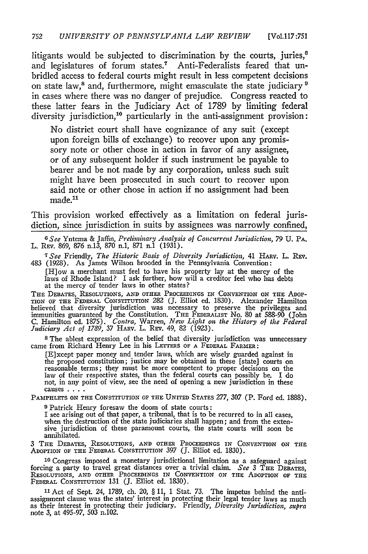litigants would be subjected to discrimination by the courts, juries,<sup>6</sup> and legislatures of forum states.<sup>7</sup> Anti-Federalists feared that unbridled access to federal courts might result in less competent decisions on state law,<sup>8</sup> and, furthermore, might emasculate the state judiciary<sup>9</sup> in cases where there was no danger of prejudice. Congress reacted to these latter fears in the Judiciary Act of 1789 by limiting federal diversity jurisdiction,<sup>10</sup> particularly in the anti-assignment provision:

No district court shall have cognizance of any suit (except upon foreign bills of exchange) to recover upon any promissory note or other chose in action in favor of any assignee, or of any subsequent holder if such instrument be payable to bearer and be not made by any corporation, unless such suit might have been prosecuted in such court to recover upon said note or other chose in action if no assignment had been made.<sup>11</sup>

This provision worked effectively as a limitation on federal jurisdiction, since jurisdiction in suits **by** assignees was narrowly confined,

*6 See* Ynterna & Jaffin, *Preliminary Analysis of Concurrent Jurisdiction, 79* **U.** PA. L. REV. 869, 876 n.13, 870 n.1, 871 n.1 (1931).

*7See* Friendly, *The Historic Basis of Diversity Jurisdiction,* 41 HARV. L. REV. 483 (1928). As James Wilson brooded in the Pennsylvania Convention:

[H]ow a merchant must feel to have his property lay at the mercy of the laws of Rhode Island? I ask further, how will a creditor feel who has debts at the mercy of tender laws in other states?

THE DEBATES, RESOLUTIONS, **AND** OTHER PROCEEDINGS IN CONVENTION **ON** THE ADoP-**TION** OF THE FEDERAL CONSTITUTION 282 (J. Elliot ed. 1830). Alexander Hamilton believed that diversity jurisdiction was necessary to preserve the privileges and immunities guaranteed **by** the Constitution. THE FEDERALIST No. 80 at 588-90 (John C. Hamilton ed. 1875). *Contra,* Warren, *New Light on the History of the Federal Judiciary Act of 1789,* 37 HARv. L. REv. 49, 82 (1923).

**s** The ablest expression of the belief that diversity jurisdiction was unnecessary came from Richard Henry Lee in his LETTERS OF **A** FEDERAL FARMER:

[E]xcept paper money and tender laws, which are wisely guarded against in the proposed constitution; justice may be obtained in these [state] courts on reasonable terms; they must be more competent to proper decisions on the law of their respective states, than the federal courts can possibly be. I do not, in any point of view, see the need of opening a new jurisdiction in these causes **....**

PAMPHLETS **ON THE** CONSTITUTION OF THE **UNITED** STATES 277, 307 (P. Ford ed. 1888).

**<sup>9</sup>**Patrick Henry foresaw the doom of state courts:

I see arising out of that paper, a tribunal, that is to be recurred to in all cases, when the destruction of the state judiciaries shall happen; and from the extensive jurisdiction of these paramount courts, the state courts will soon be annihilated.

**3** THE **DEBATES, RESOLUTIONS, AND OTHER PROCEEDINGS IN CONVENTION ON THE** ADOPTION OF **THE** FEDERAL CONSTITUTION 397 *(J.* Elliot ed. 1830).

**<sup>10</sup>**Congress imposed a monetary jurisdictional limitation as a safeguard against forcing a party to travel great distances over a trivial claim. *See 3* THE DEBATES RESOLUTIONS, **AND** OTHER PROCEEDINGS IN **CONVENTION ON THE** ADOPTION OF **THE** FEDERAL CONSTITUTION **131** (J. Elliot ed. 1830).

<sup>11</sup> Act of Sept. 24, 1789, ch. 20, § 11, 1 Stat. 73. The impetus behind the anti-<br>assignment clause was the states' interest in protecting their legal tender laws as much<br>as their interest in protecting their judiciary. note 3, at 495-97, 503 n.102.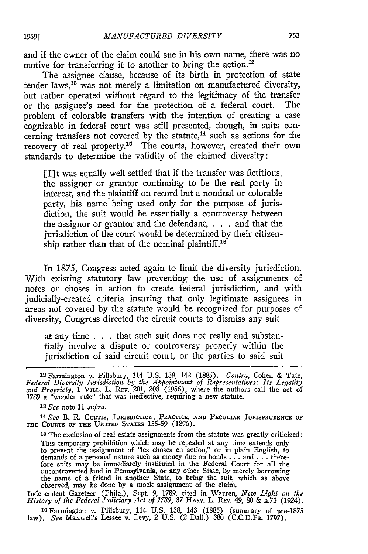and if the owner of the claim could sue in his own name, there was no motive for transferring it to another to bring the action.<sup>12</sup>

The assignee clause, because of its birth in protection of state tender laws, $13$  was not merely a limitation on manufactured diversity, but rather operated without regard to the legitimacy of the transfer or the assignee's need for the protection of a federal court. The problem of colorable transfers with the intention of creating a case cognizable in federal court was still presented, though, in suits concerning transfers not covered by the statute,<sup>14</sup> such as actions for the recovery of real property.<sup>15</sup> The courts, however, created their own standards to determine the validity of the claimed diversity:

[I]t was equally well settled that if the transfer was fictitious, the assignor or grantor continuing to be the real party in interest, and the plaintiff on record but a nominal or colorable party, his name being used only for the purpose of jurisdiction, the suit would be essentially a controversy between the assignor or grantor and the defendant, . . . and that the jurisdiction of the court would be determined by their citizenship rather than that of the nominal plaintiff.<sup>16</sup>

In 1875, Congress acted again to limit the diversity jurisdiction. With existing statutory law preventing the use of assignments of notes or choses in action to create federal jurisdiction, and with judicially-created criteria insuring that only legitimate assignees in areas not covered by the statute would be recognized for purposes of diversity, Congress directed the circuit courts to dismiss any suit

at any time . . . that such suit does not really and substantially involve a dispute or controversy properly within the jurisdiction of said circuit court, or the parties to said suit

15 The exclusion of real estate assignments from the statute was greatly criticized: This temporary prohibition which may be repealed at any time extends only to prevent the assignment of "les choses en action," or in plain English, to demands of a personal nature such as money due on bonds **...** and **...** therefore suits may be immediately instituted in the Federal Court for all the uncontroverted land in Pennsylvania, or any other State, by merely borrowing the name of a friend in another State, to bring the suit, which as above observed, may be done by a mock assignment of the claim.

Independent Gazeteer (Phila.), Sept. 9, 1789, cited in Warren, *New Light on the History of the Federal Aidiciary Act of 1789,* **37 HARV.** L. REV. *49,* 80 & n.73 (1924).

**16** Farmington v. Pillsbury, 114 U.S. 138, 143 (1885) (summary of pre-1875 law). *See* Maxwell's Lessee v. Levy, *2* U.S. (2 DalI.) 380 (C.C.D.Pa. 1797).

<sup>1</sup> <sup>2</sup> Farmington v. Pillsbury, 114 U.S. 138, 142 (1885). *Contra,* Cohen & Tate, *Federal Diversity Jurisdiction by the Appointment of Representatives: Its Legality, and Propriety,* 1 **VILL.** L. REv. 201, 208 (1956), where the authors call the act of 1789 a "wooden rule" that was ineffective, requiring a new statute.

*<sup>13</sup> See* note 11 *supra.*

*<sup>14</sup>See* **B.** R. CURTIS, **JURISDICTION,** PRACTICE, **AND** PECULIAR **JURISPRUDENCE OF THE COURTS OF THE UNITED** STATES 155-59 (1896).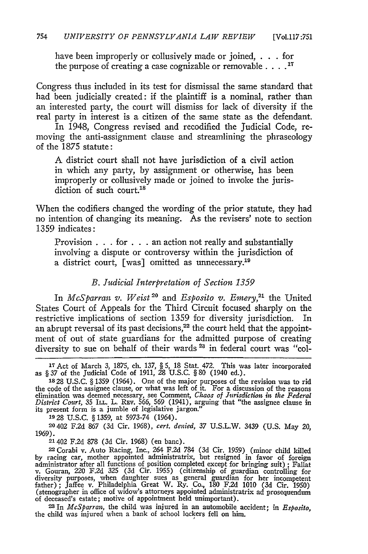have been improperly or collusively made or joined, . . . for the purpose of creating a case cognizable or removable **. 17**

Congress thus included in its test for dismissal the same standard that had been judicially created: if the plaintiff is a nominal, rather than an interested party, the court will dismiss for lack of diversity if the real party in interest is a citizen of the same state as the defendant.

In 1948, Congress revised and recodified the Judicial Code, removing the anti-assignment clause and streamlining the phraseology of the 1875 statute:

A district court shall not have jurisdiction of a civil action in which any party, by assignment or otherwise, has been improperly or collusively made or joined to invoke the jurisdiction of such court.<sup>18</sup>

When the codifiers changed the wording of the prior statute, they had no intention of changing its meaning. As the revisers' note to section 1359 indicates:

Provision . . . for . . . an action not really and substantially involving a dispute or controversy within the jurisdiction of a district court, [was] omitted as unnecessary.<sup>19</sup>

# *B. Judicial Interpretation of Section 1359*

In *McSparran v. Weist<sup>20</sup>* and *Esposito v. Emery*,<sup>21</sup> the United States Court of Appeals for the Third Circuit focused sharply on the restrictive implications of section 1359 for diversity jurisdiction. In an abrupt reversal of its past decisions,<sup>22</sup> the court held that the appointment of out of state guardians for the admitted purpose of creating diversity to sue on behalf of their wards **'** in federal court was "col-

**1928 U.S.C.** §1359, at 5973-74 (1964).

**20 402** F.2d 867 (3d Cir. **1968),** *cert. denied, 37* U.S.L.W. 3439 (U.S. May 20, **1969).**

21402 F.2d 878 (3d Cir. 1968) (en banc).

**22** Corabi v. Auto Racing, Inc., 264 F.2d 784 (3d Cir. 1959) (minor child killed by racing car, mother appointed administratrix, but resigned in favor of foreign<br>administrator after all functions of position completed except for bringing suit) ; Fallat<br>v. Gouran, 220 F.2d 325 (3d Cir. 1955) (citizenshi (stenographer in office of widow's attorneys appointed administratrix ad prosequendum of deceased's estate; motive of appointment held unimportant).

**23** In *McSparran,* the child was injured in an automobile accident; in *Esposito,* the child was injured when a bank of school lockers fell on him.

**<sup>17</sup>**Act of March 3, 1875, ch. 137, § 5, 18 Stat. 472. This was later incorporated as § 37 of the Judicial Code of 1911, 28 U.S.C. § 80 (1940 ed.).

<sup>1828</sup> U.S.C. § 1359 (1964). One of the major purposes of the revision was to rid the code of the assignee clause, or what was left of it. For a discussion of the reasons elimination was deemed necessary, see Comment, Chaos of Jurisdiction in the Federal District Court, 35 ILL. L. REV. 566, 569 (1941), arguing that "the assignee clause in its present form is a jumble of legislative jargon."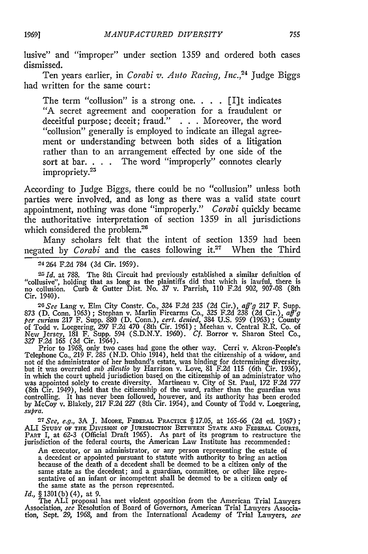lusive" and "improper" under section 1359 and ordered both cases dismissed.

Ten years earlier, in *Corabi v. Auto Racing, Inc.*<sup>24</sup> Judge Biggs had written for the same court:

The term "collusion" is a strong one.  $\ldots$  [I]t indicates "A secret agreement and cooperation for a fraudulent or deceitful purpose; deceit; fraud." **.** . . Moreover, the word "collusion" generally is employed to indicate an illegal agreement or understanding between both sides of a litigation rather than to an arrangement effected by one side of the sort at bar. . . . The word "improperly" connotes clearly impropriety.<sup>25</sup>

According to Judge Biggs, there could be no "collusion" unless both parties were involved, and as long as there was a valid state court appointment, nothing was done "improperly." *Corabi* quickly became the authoritative interpretation of section 1359 in all jurisdictions which considered the problem.<sup>26</sup>

Many scholars felt that the intent of section 1359 had been negated by *Corabi* and the cases following it.<sup>27</sup> When the Third

24264 F.2d 784 (3d Cir. 1959).

*- Id.* at 788. The 8th Circuit had previously established a similar definition of "collusive", holding that as long as the plaintiffs did that which is lawful, there is no collusion. Curb & Gutter Dist. No. 37 v. Parrish, 110 F.2d 902, 907-08 (8th Cir. 1940).

*26See* Lang v. Elm City Constr. Co., 324 F.2d 235 (2d Cir.), aff'g 217 F. Supp. 873 (D. Conn. 1963); Stephan v. Marlin Firearms Co., 325 F.2d 238 (2d Cir.), aff g<br>per curiam 217 F. Supp. 880 (D. Conn.), cert. denied, 384 U.S. 959 (1963); County<br>of Todd v. Loegering, 297 F.2d 470 (8th Cir. 1961); Meeha

Prior to 1968, only two cases had gone the other way. Cerri v. Akron-People's Telephone Co., 219 F. 285 (N.D. Ohio 1914), held that the citizenship of a widow, and not of the administrator of her husband's estate, was binding for determining diversity, but it was overruled *sub silentio* by Harrison v. Love, 81 F.2d 115 (6th Cir. 1936), in which the court upheld jurisdiction based on the citizenship of an administrator who was appointed solely to create diversity. Martineau v. City of St. Paul, 172 F.2d 777 (8th Cir. 1949), held that the citizenship of the ward, rather than the guardian was controlling. It has never been followed, however, and its authority has been eroded by McCoy v. Blakely, 217 F.2d *227* (8th Cir. 1954), and County of Todd v. Loegering, *supra.*

**-7** *See, e.g.,* 3A **J.** MOORE, **FEDERAL** PRACTICE § 17.05, at 165-66 (2d ed. 1967); ALI **STUDY OF THE** DIVISION **OF** JURISDICTION BETWEEN **STATE AND FEDERAL COURTS, PART** I, at 62-3 (Official Draft **1965).** As part of its program **to** restructure the jurisdiction of the federal courts, the American Law Institute has recommended

An executor, or an administrator, or any person representing the estate of a decedent or appointed pursuant to statute with authority to bring an action<br>because of the death of a decedent shall be deemed to be a citizen only of the<br>same state as the decedent; and a guardian, committee, or other l same state as the decedent; and a guardian, committee, or other like representative of an infant or incompetent shall be deemed to be a citizen only of the same state as the person represented.

*Id., §* 1301(b) (4), at 9.

The **ALI** proposal has met violent opposition from the American Trial Lawyers Association, *see* Resolution of Board of Governors, American Trial Lawyers Associa-tion, Sept. *29,* 1968, and from the International Academy of Trial Lawyers, *see*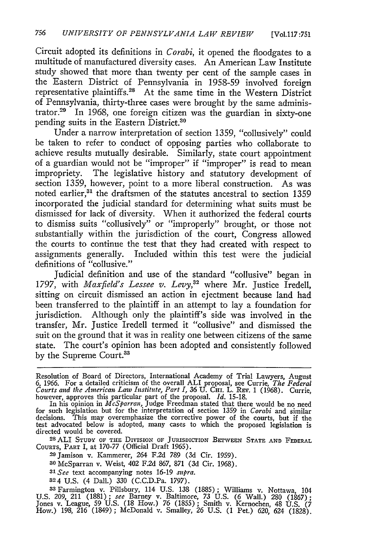Circuit adopted its definitions in *Corabi,* it opened the floodgates to a multitude of manufactured diversity cases. An American Law Institute study showed that more than twenty per cent of the sample cases in the Eastern District of Pennsylvania in 1958-59 involved foreign representative plaintiffs.<sup>28</sup> At the same time in the Western District of Pennsylvania, thirty-three cases were brought **by** the same administrator.<sup>29</sup> In 1968, one foreign citizen was the guardian in sixty-one pending suits in the Eastern District.<sup>30</sup>

Under a narrow interpretation of section 1359, "collusively" could be taken to refer to conduct of opposing parties who collaborate to achieve results mutually desirable. Similarly, state court appointment of a guardian would not be "improper" if "improper" is read to mean impropriety. The legislative history and statutory development of section 1359, however, point to a more liberal construction. As was noted earlier, $31$  the draftsmen of the statutes ancestral to section 1359 incorporated the judicial standard for determining what suits must be dismissed for lack of diversity. When it authorized the federal courts to dismiss suits "collusively" or "improperly" brought, or those not substantially within the jurisdiction of the court, Congress allowed the courts to continue the test that they had created with respect to assignments generally. Included within this test were the judicial definitions of "collusive."

Judicial definition and use of the standard "collusive" began in 1797, with *Maxfield's Lessee v. Levy,32* where Mr. Justice Iredell, sitting on circuit dismissed an action in ejectment because land had been transferred to the plaintiff in an attempt to lay a foundation for jurisdiction. Although only the plaintiff's side was involved in the transfer, Mr. Justice Iredell termed it "collusive" and dismissed the suit on the ground that it was in reality one between citizens of the same state. The court's opinion has been adopted and consistently followed by the Supreme Court.<sup>33</sup>

**28** ALI **STUDY** OF **THE** DIvIsIoN OF JURISDICTION BETWEEN **STATE AND FEDERAL COURTS,** PART I, at 170-77 (Official Draft 1965).

- **29** Jamison v. Kammerer, 264 F.2d 789 (3d Cir. 1959).
- **30** McSparran v. Weist, 402 F.2d 867, 871 (3d Cir. 1968).
- *31 See* text accompanying notes 16-19 *supra.*
- **324** U.S. (4 Dall.) 330 (C.C.D.Pa. 1797).

**33** Farmington **v.** Pillsbury, 114 **U.S.** 138 (1885); Williams **v.** Nottawa, 104 U.S. 209, 211 (1881); *see* Barney **v.** Baltimore, 73 U.S. (6 Wall.) 280 (1867); Jones **v.** League, 59 U.S. (18 How.) *76* (1855); Smith v. Kernochen, 48 **U.S.** *(7* How.) 198, *216* (1849); McDonald v. Smalley, 26 U.S. (1 Pet.) 620, 624 (1828).

Resolution of Board of Directors, International Academy of Trial Lawyers, August 6, 1966. For a detailed criticism of the overall ALI proposal, see Currie, *The Federal* Courts and the American Law Institute, Part I, 36 U. Cur. L. Rev. 1 (1968). Currie<br>however, approves this particular part of the proposal. *Id.* 15-18.<br>In his opinion in McSparran, Judge Freedman stated that there would be

for such legislation but for the interpretation of section 1359 in *Corabi* and similar decisions. This may overemphasize the corrective power of the courts, but if the test advocated below is adopted, many cases to which the proposed legislation is directed would be covered.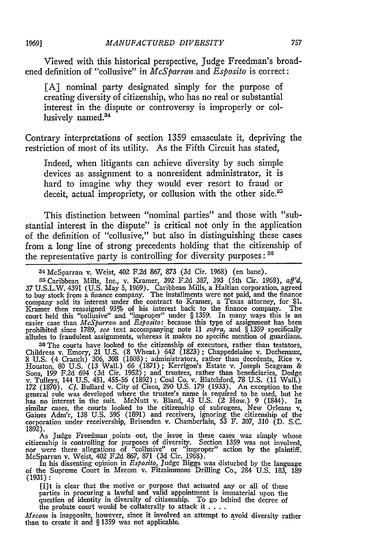Viewed with this historical perspective, Judge Freedman's broadened definition of "collusive" in *McSparran* and *Esposito* is correct:

[A] nominal party designated simply for the purpose of creating diversity of citizenship, who has no real or substantial interest in the dispute or controversy is improperly or collusively named.<sup>34</sup>

Contrary interpretations of section 1359 emasculate it, depriving the restriction of most of its utility. As the Fifth Circuit has stated,

Indeed, when litigants can achieve diversity by such simple devices as assignment to a nonresident administrator, it is hard to imagine why they would ever resort to fraud or deceit, actual impropriety, or collusion with the other side.<sup>35</sup>

This distinction between "nominal parties" and those with "substantial interest in the dispute" is critical not only in the application of the definition of "collusive," but also in distinguishing these cases from a long line of strong precedents holding that the citizenship of the representative party is controlling for diversity purposes:  $36$ 

**34** McSparran v. Weist, 402 F.2d **867,** 873 (3d Cir. 1968) (en banc).

35Caribbean Mills, Inc., v. Kramer, 392 F.2d 387, 393 (5th Cir. 1968), *aff'd,* 37 U.S.L.W. 4391 (U.S. May 5, 1969). Caribbean Mills, a Haitian corporation, agreed to buy stock from a finance company. The installments were not paid, and the finance company sold its interest under the contract to Kramer, a Texas attorney, for \$1. Kramer then reassigned 95% of his interest back to the finance company. The court held this "collusive" and "improper" under § 1359. In many ways this is an easier case than *McSparran* and *Esposito:* because this type of assignment has been prohibited since **1789,** *see* text accompanying note 11 *supra,* and § 1359 specifically alludes to fraudulent assignments, whereas it makes no specific mention of guardians.

**<sup>36</sup>**The courts have looked to the citizenship of executors, rather than testators, Childress v. Emory, 21 **U.S. (8** Wheat.) 642 **(1823);** Chappedelaine v. Dechenaux, **8 U.S.** (4 Cranch) **306, 308 (1808);** administrators, rather than decedents, Rice v. Houston, **80 U.S. (13** Wall.) 66 **(1871);** Kerrigon's Estate v. Joseph Seagram **&** Sons, **199 F.2d** 694 **(3d** Cir. **1952);** and trustees, rather than beneficiaries, Dodge v. Tulleys, 144 **U.S.** 451, **455-56 (1892);** Coal Co. v. Blatchford, **78 U.S.** (11 Wall.) 172 (1870). Cf. Bullard v. City of Cisco, 290 U.S. 179 (1933). An exception to the general rule was developed where the trustee's name is required to be used, but he has no interest in the suit. McNutt v. Bland, 43 U.S. (2 similar cases, the courts looked to the citizenship of subrogees, New Orleans v. Gaines Adm'r, **138 U.S. 595** (1891) and receivers, ignoring the citizenship of the corporation under receivership, Brisenden v. Chamberlain, **53** F. **307, 310 (D. S.C. 1892).**

As Judge Freedman points out, the issue in these cases was simply whose citizenship is controlling for purposes of diversity. Section 1359 was not involved, nor were there allegations of "collusive" or "improper" action by the plaintiff. McSparran v. Weist, 402 F.2d 867, 871 (3d Cir. 1968).

In his dissenting opinion in *Esposito,* Judge Biggs was disturbed by the language of the Supreme Court in Mecom v. Fitzsimmons Drilling Co., 284 U.S. 183, 189 (1931) **:**

[I]t is clear that the motive or purpose that actuated any or all of these parties in procuring a lawful and valid appointment is immaterial upon the question of identity in diversity of citizenship. To go behind the decre the probate court would be collaterally to attack it...

*Mecom* is inapposite, however, since it involved an attempt to avoid diversity rather than to create it and § 1359 was not applicable.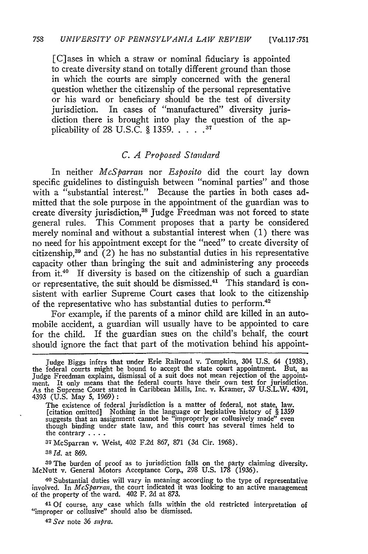[Vo1.117:751

[C]ases in which a straw or nominal fiduciary is appointed to create diversity stand on totally different ground than those in which the courts are simply concerned with the general question whether the citizenship of the personal representative or his ward or beneficiary should be the test of diversity jurisdiction. In cases of "manufactured" diversity jurisdiction there is brought into play the question of the applicability of 28 U.S.C. § 1359....<sup>37</sup>

### *C. A Proposed Standard*

In neither *McSparran* nor *Esposito* did the court lay down specific guidelines to distinguish between "nominal parties" and those with a "substantial interest." Because the parties in both cases admitted that the sole purpose in the appointment of the guardian was to create diversity jurisdiction,<sup>38</sup> Judge Freedman was not forced to state general rules. This Comment proposes that a party be considered merely nominal and without a substantial interest when (1) there was no need for his appointment except for the "need" to create diversity of citizenship, $39$  and (2) he has no substantial duties in his representative capacity other than bringing the suit and administering any proceeds from it.<sup>40</sup> If diversity is based on the citizenship of such a guardian or representative, the suit should be dismissed.<sup>41</sup> This standard is consistent with earlier Supreme Court cases that look to the citizenship of the representative who has substantial duties to perform.<sup>42</sup>

For example, if the parents of a minor child are killed in an automobile accident, a guardian will usually have to be appointed to care for the child. If the guardian sues on the child's behalf, the court should ignore the fact that part of the motivation behind his appoint-

The existence of federal jurisdiction is a matter of federal, not state, law. [citation omitted] Nothing in the language or legislative history of § 1359 suggests that an assignment cannot be "improperly or collusively made" even though binding under state law, and this court has several times held to the contrary **....**

**37** McSparran v. Weist, 402 F.2d 867, 871 (3d Cir. 1968).

**<sup>38</sup>***Id.* at 869.

**39** The burden of proof as to jurisdiction falls on the party claiming diversity. McNutt v. General Motors Acceptance Corp., 298 U.S. 178 (1936).

**40** Substantial duties will vary in meaning according to the type of representative involved. In *McSparran*, the court indicated it was looking to an active management of the property of the ward. 402 F. 2d at 873.

**41** Of course, any case which falls within the old restricted interpretation of "improper or collusive" should also be dismissed.

*42 See* note 36 *supra.*

Judge Biggs infers that under Erie Railroad v. Tompkins, 304 U.S. 64 (1938). the federal courts might be bound to accept the state court appointment. But, as Judge Freedman explains, dismissal of a suit does not mean rejection of the appointment. It only means that the federal courts have their own test for jurisdiction. As the Supreme Court stated in Caribbean Mills, Inc. v. Kramer, 37 U.S.L.W. 4391, 4393 (U.S. May 5, 1969):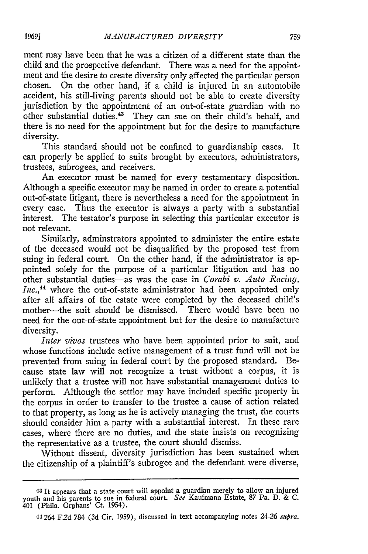ment may have been that he was a citizen of a different state than the child and the prospective defendant. There was a need for the appointment and the desire to create diversity only affected the particular person chosen. On the other hand, if a child is injured in an automobile accident, his still-living parents should not be able to create diversity jurisdiction by the appointment of an out-of-state guardian with no other substantial duties.<sup>43</sup> They can sue on their child's behalf, and there is no need for the appointment but for the desire to manufacture diversity.

This standard should not be confined to guardianship cases. It can properly be applied to suits brought by executors, administrators, trustees, subrogees, and receivers.

An executor must be named for every testamentary disposition. Although a specific executor may be named in order to create a potential out-of-state litigant, there is nevertheless a need for the appointment in every case. Thus the executor is always a party with a substantial interest. The testator's purpose in selecting this particular executor is not relevant.

Similarly, adminstrators appointed to administer the entire estate of the deceased would not be disqualified by the proposed test from suing in federal court. On the other hand, if the administrator is appointed solely for the purpose of a particular litigation and has no other substantial duties-as was the case in *Corabi v. Auto Racing, Inc.,44* where the out-of-state administrator had been appointed only after all affairs of the estate were completed by the deceased child's mother—the suit should be dismissed. There would have been no need for the out-of-state appointment but for the desire to manufacture diversity.

*Inter vivos* trustees who have been appointed prior to suit, and whose functions include active management of a trust fund will not be prevented from suing in federal court by the proposed standard. Because state law will not recognize a trust without a corpus, it is unlikely that a trustee will not have substantial management duties to perform. Although the settlor may have included specific property in the corpus in order to transfer to the trustee a cause of action related to that property, as long as he is actively managing the trust, the courts should consider him a party with a substantial interest. In these rare cases, where there are no duties, and the state insists on recognizing the representative as a trustee, the court should dismiss.

Without dissent, diversity jurisdiction has been sustained when the citizenship of a plaintiff's subrogee and the defendant were diverse,

<sup>43</sup> It appears that a state court will appoint a guardian merely to allow an injured youth and his parents to sue in federal court. *See* Kaufmann Estate, 87 Pa. D. & C. 401 (Phila. Orphans' Ct. 1954).

<sup>44264</sup> F.2d 784 (3d Cir. 1959), discussed in text accompanying notes 24-26 *supra.*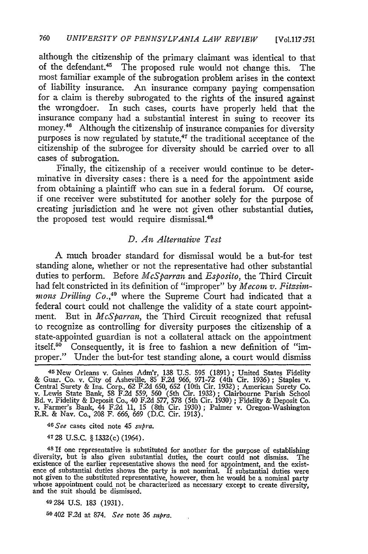although the citizenship of the primary claimant was identical to that of the defendant.<sup>45</sup> The proposed rule would not change this. The most familiar example of the subrogation problem arises in the context of liability insurance. An insurance company paying compensation for a claim is thereby subrogated to the rights of the insured against the wrongdoer. In such cases, courts have properly held that the insurance company had a substantial interest in suing to recover its money.<sup>46</sup> Although the citizenship of insurance companies for diversity purposes is now regulated by statute, $47$  the traditional acceptance of the citizenship of the subrogee for diversity should be carried over to all cases of subrogation.

Finally, the citizenship of a receiver would continue to be determinative in diversity cases: there is a need for the appointment aside from obtaining a plaintiff who can sue in a federal forum. Of course, if one receiver were substituted for another solely for the purpose of creating jurisdiction and he were not given other substantial duties, the proposed test would require dismissal.<sup>48</sup>

## *D. An Alternative Test*

A much broader standard for dismissal would be a but-for test standing alone, whether or not the representative had other substantial duties to perform. Before *McSparran* and *Esposito,* the Third Circuit had felt constricted in its definition of "improper" by *Mecom v. Fitzsimmons Drilling Co.,49* where the Supreme Court had indicated that a federal court could not challenge the validity of a state court appointment. But in *McSparran,* the Third Circuit recognized that refusal to recognize as controlling for diversity purposes the citizenship of a state-appointed guardian is not a collateral attack on the appointment itself.<sup>50</sup> Consequently, it is free to fashion a new definition of "improper." Under the but-for test standing alone, a court would dismiss

<sup>45</sup> New Orleans v. Gaines Adm'r, 138 U.S. 595 (1891); United States Fidelity & Guar. Co. v. City of Asheville, 85 F.2d 966, 971-72 (4th Cir. 1936); Staples v. Central Surety & Ins. Corp., 62 F.2d 650, 652 (10th Cir. 1932) Bd. v. Fidelity & Deposit Co., 40 F.2d *577,* **578** (5th Cir. 1930) ; Fidelity & Deposit Co. v. Farmer's Bank, 44 F.2d 11, **15** (8th Cir. 1930); Palmer v. Oregon-Washington R.R. & Nay. Co., 208 F. 666, 669 (D.C. Cir. 1913).

**46** *See* cases cited note 45 *supra.*

4728 U.S.C. § 1332(c) (1964).

**<sup>48</sup>**If one representative is substituted for another for the purpose of establishing diversity, but is also given substantial duties, the court could not dismiss. The existence of the earlier representative shows the need for appointment, and the existence of substantial duties shows the party is not norma and the suit should be dismissed.

49284 U.S. 183 (1931).

*50* 402 F.2d at 874. *See* note 36 *supra.*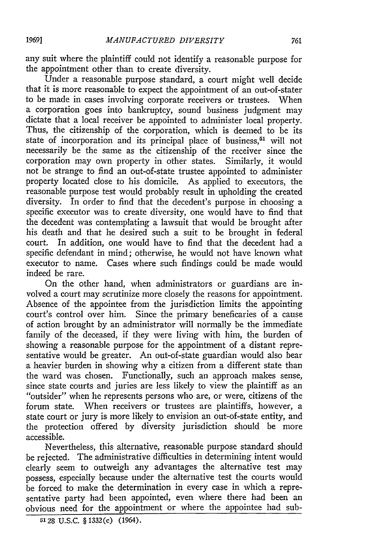any suit where the plaintiff could not identify a reasonable purpose for the appointment other than to create diversity.

Under a reasonable purpose standard, a court might well decide that it is more reasonable to expect the appointment of an out-of-stater to be made in cases involving corporate receivers or trustees. When a corporation goes into bankruptcy, sound business judgment may dictate that a local receiver be appointed to administer local property. Thus, the citizenship of the corporation, which is deemed to be its state of incorporation and its principal place of business,<sup>51</sup> will not necessarily be the same as the citizenship of the receiver since the corporation may own property in other states. Similarly, it would not be strange to find an out-of-state trustee appointed to administer property located close to his domicile. As applied to executors, the reasonable purpose test would probably result in upholding the created diversity. In order to find that the decedent's purpose in choosing a specific executor was to create diversity, one would have to find that the decedent was contemplating a lawsuit that would be brought after his death and that he desired such a suit to be brought in federal court. In addition, one would have to find that the decedent had a specific defendant in mind; otherwise, he would not have known what executor to name. Cases where such findings could be made would indeed be rare.

On the other hand, when administrators or guardians are involved a court may scrutinize more closely the reasons for appointment. Absence of the appointee from the jurisdiction limits the appointing court's control over him. Since the primary beneficaries of a cause of action brought by an administrator will normally be the immediate family of the deceased, if they were living with him, the burden of showing a reasonable purpose for the appointment of a distant representative would be greater. An out-of-state guardian would also bear a heavier burden in showing why a citizen from a different state than the ward was chosen. Functionally, such an approach makes sense, since state courts and juries are less likely to view the plaintiff as an "outsider" when he represents persons who are, or were, citizens of the forum state. When receivers or trustees are plaintiffs, however, a state court or jury is more likely to envision an out-of-state entity, and the protection offered by diversity jurisdiction should be more accessible.

Nevertheless, this alternative, reasonable purpose standard should be rejected. The administrative difficulties in determining intent would clearly seem to outweigh any advantages the alternative test may possess, especially because under the alternative test the courts would be forced to make the determination in every case in which a representative party had been appointed, even where there had been an obvious need for the appointment or where the appointee had sub-

**<sup>5128</sup> U.S.C.** § **1332(c)** (1964).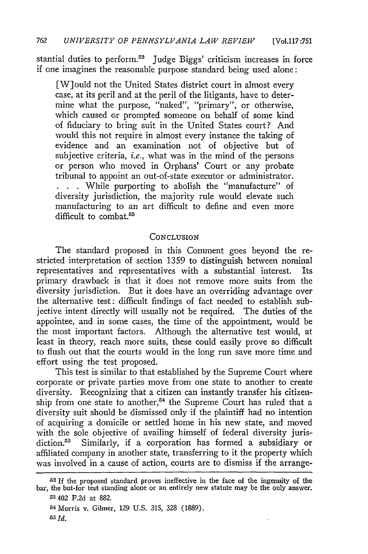stantial duties to perform.<sup>52</sup> Judge Biggs' criticism increases in force if one imagines the reasonable purpose standard being used alone:

[W]ould not the United States district court in almost every case, at its peril and at the peril of the litigants, have to determine what the purpose, "naked", "primary", or otherwise, which caused or prompted someone on behalf of some kind of fiduciary to bring suit in the United States court? And would this not require in almost every instance the taking of evidence and an examination not of objective but of subjective criteria, *i.e.,* what was in the mind of the persons or person who moved in Orphans' Court or any probate tribunal to appoint an out-of-state executor or administrator. **. . .** While purporting to abolish the "manufacture" of diversity jurisdiction, the majority rule would elevate such manufacturing to an art difficult to define and even more difficult to combat. $53$ 

#### CONCLUSION

The standard proposed in this Comment goes beyond the restricted interpretation of section 1359 to distinguish between nominal representatives and representatives with a substantial interest. Its primary drawback is that it does not remove more suits from the diversity jurisdiction. But it does have an overriding advantage over the alternative test: difficult findings of fact needed to establish subjective intent directly will usually not be required. The duties of the appointee, and in some cases, the time of the appointment, would be the most important factors. Although the alternative test would, at least in theory, reach more suits, these could easily prove so difficult to flush out that the courts would in the long run save more time and effort using the test proposed.

This test is similar to that established by the Supreme Court where corporate or private parties move from one state to another to create diversity. Recognizing that a citizen can instantly transfer his citizenship from one state to another,<sup>54</sup> the Supreme Court has ruled that a diversity suit should be dismissed only if the plaintiff had no intention of acquiring a domicile or settled home in his new state, and moved with the sole objective of availing himself of federal diversity jurisdiction.<sup>55</sup> Similarly, if a corporation has formed a subsidiary or affiliated company in another state, transferring to it the property which was involved in a cause of action, courts are to dismiss if the arrange-

**<sup>52</sup>**If the proposed standard proves ineffective in the face of the ingenuity of the bar, the but-for test standing alone or an entirely new statute may be the only answer **53** 402 F.2d at 882.

<sup>54</sup> Morris v. Gilmer, 129 U.S. 315, 328 (1889). **<sup>55</sup>***Id.*